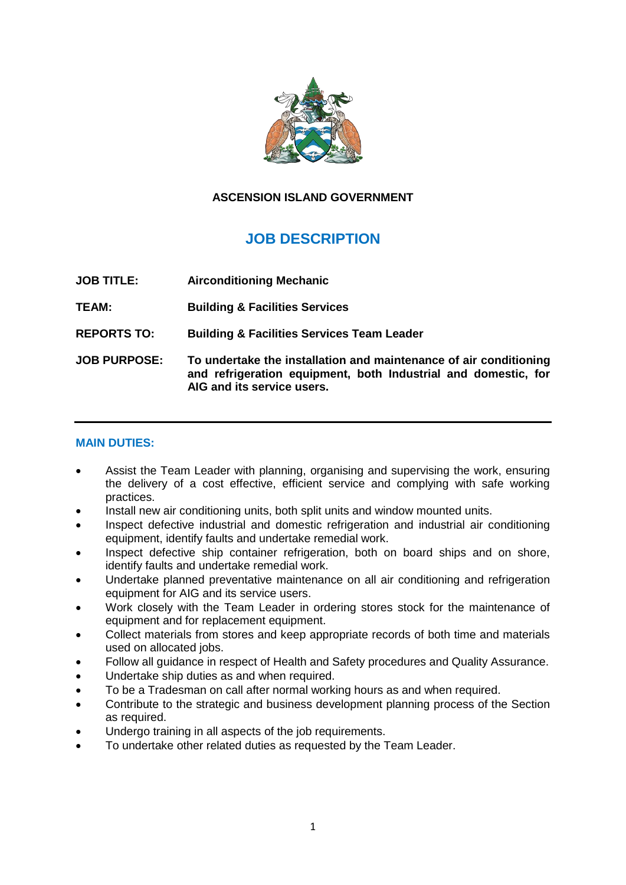

# **ASCENSION ISLAND GOVERNMENT**

# **JOB DESCRIPTION**

- **JOB TITLE: Airconditioning Mechanic**
- **TEAM: Building & Facilities Services**
- **REPORTS TO: Building & Facilities Services Team Leader**
- **JOB PURPOSE: To undertake the installation and maintenance of air conditioning and refrigeration equipment, both Industrial and domestic, for AIG and its service users.**

### **MAIN DUTIES:**

- Assist the Team Leader with planning, organising and supervising the work, ensuring the delivery of a cost effective, efficient service and complying with safe working practices.
- Install new air conditioning units, both split units and window mounted units.
- Inspect defective industrial and domestic refrigeration and industrial air conditioning equipment, identify faults and undertake remedial work.
- Inspect defective ship container refrigeration, both on board ships and on shore, identify faults and undertake remedial work.
- Undertake planned preventative maintenance on all air conditioning and refrigeration equipment for AIG and its service users.
- Work closely with the Team Leader in ordering stores stock for the maintenance of equipment and for replacement equipment.
- Collect materials from stores and keep appropriate records of both time and materials used on allocated jobs.
- Follow all guidance in respect of Health and Safety procedures and Quality Assurance.
- Undertake ship duties as and when required.
- To be a Tradesman on call after normal working hours as and when required.
- Contribute to the strategic and business development planning process of the Section as required.
- Undergo training in all aspects of the job requirements.
- To undertake other related duties as requested by the Team Leader.